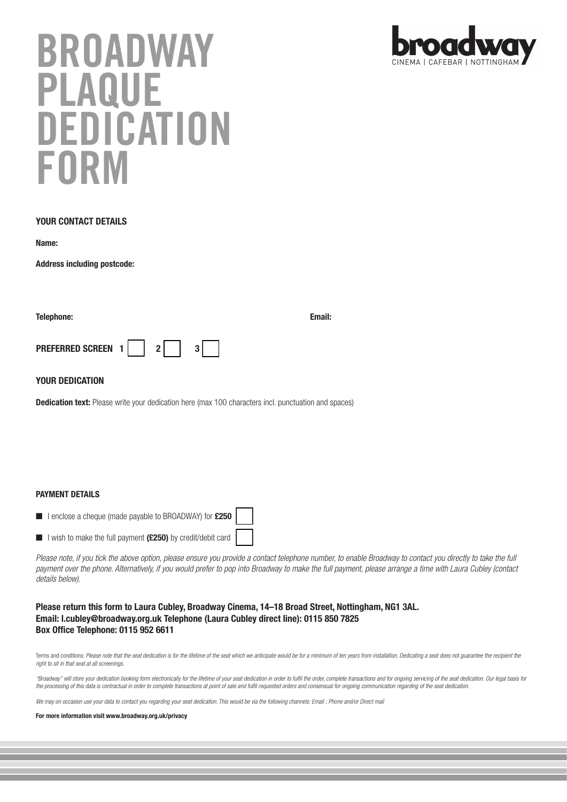# **BROADWAY PLAQUE DEDICATION FORM**

## **YOUR CONTACT DETAILS**

**Name:** 

**Address including postcode:**

| <b>Telephone:</b>    |  |                | Email: |
|----------------------|--|----------------|--------|
| PREFERRED SCREEN 1 2 |  | 3 <sup>1</sup> |        |

## **YOUR DEDICATION**

**Dedication text:** Please write your dedication here (max 100 characters incl. punctuation and spaces)

## **PAYMENT DETAILS**

- I enclose a cheque (made payable to BROADWAY) for **£250**
- I wish to make the full payment **(£250)** by credit/debit card

Please note, if you tick the above option, please ensure you provide a contact telephone number, to enable Broadway to contact you directly to take the full payment over the phone. Alternatively, if you would prefer to pop into Broadway to make the full payment, please arrange a time with Laura Cubley (contact details below).

## **Please return this form to Laura Cubley, Broadway Cinema, 14–18 Broad Street, Nottingham, NG1 3AL. Email: l.cubley@broadway.org.uk Telephone (Laura Cubley direct line): 0115 850 7825 Box Office Telephone: 0115 952 6611**

Terms and conditions: Please note that the seat dedication is for the lifetime of the seat which we anticipate would be for a minimum of ten years from installation. Dedicating a seat does not guarantee the recipient the right to sit in that seat at all screenings.

"Broadway" will store your dedication booking form electronically for the lifetime of your seat dedication in order to fulfil the order, complete transactions and for ongoing servicing of the seat dedication. Our legal bas the processing of this data is contractual in order to complete transactions at point of sale and fulfil requested orders and consensual for ongoing communication regarding of the seat dedication.

We may on occasion use your data to contact you regarding your seat dedication. This would be via the following channels: Email ; Phone and/or Direct mail

### **For more information visit www.broadway.org.uk/privacy**